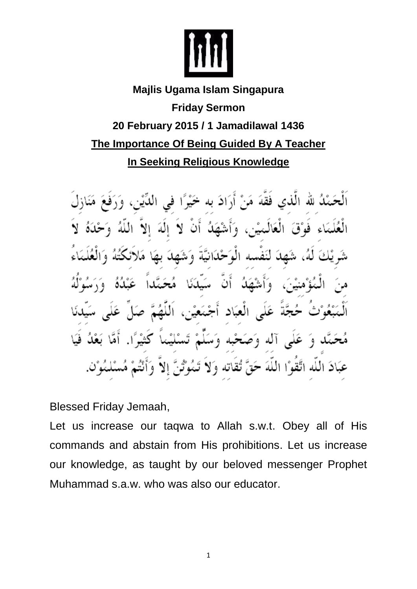

## **Majlis Ugama Islam Singapura Friday Sermon 20 February 2015 / 1 Jamadilawal 1436 The Importance Of Being Guided By A Teacher In Seeking Religious Knowledge**

اَلْحَمْلُہ للہ الَّذی فَقَّهَ مَنْ أَرَادَ به فماق العبّاد  $^{\circ}$  1  $^{\circ}$  4 غلي آله وَصَ فیه ه عَبَادَ اللَّه اتَّقَوْا اللَّهَ حَقَّ تُقَاتِه وَلاّ Γg

Blessed Friday Jemaah,

Let us increase our taqwa to Allah s.w.t. Obey all of His commands and abstain from His prohibitions. Let us increase our knowledge, as taught by our beloved messenger Prophet Muhammad s.a.w. who was also our educator.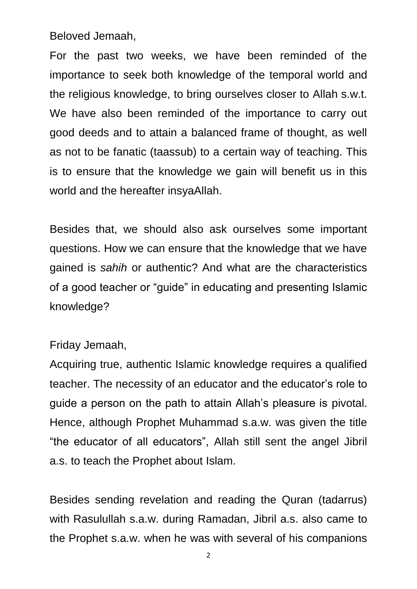Beloved Jemaah,

For the past two weeks, we have been reminded of the importance to seek both knowledge of the temporal world and the religious knowledge, to bring ourselves closer to Allah s.w.t. We have also been reminded of the importance to carry out good deeds and to attain a balanced frame of thought, as well as not to be fanatic (taassub) to a certain way of teaching. This is to ensure that the knowledge we gain will benefit us in this world and the hereafter insyaAllah.

Besides that, we should also ask ourselves some important questions. How we can ensure that the knowledge that we have gained is *sahih* or authentic? And what are the characteristics of a good teacher or "guide" in educating and presenting Islamic knowledge?

## Friday Jemaah,

Acquiring true, authentic Islamic knowledge requires a qualified teacher. The necessity of an educator and the educator's role to guide a person on the path to attain Allah's pleasure is pivotal. Hence, although Prophet Muhammad s.a.w. was given the title "the educator of all educators", Allah still sent the angel Jibril a.s. to teach the Prophet about Islam.

Besides sending revelation and reading the Quran (tadarrus) with Rasulullah s.a.w. during Ramadan, Jibril a.s. also came to the Prophet s.a.w. when he was with several of his companions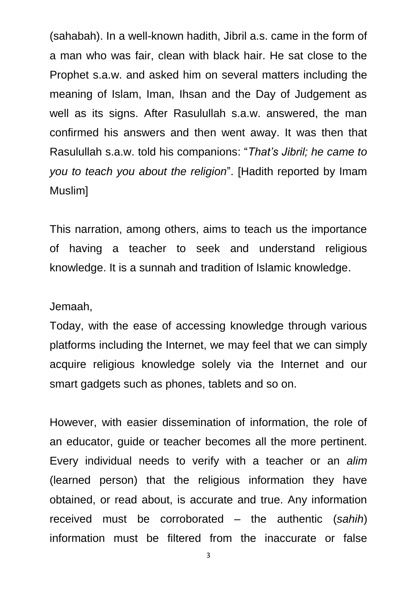(sahabah). In a well-known hadith, Jibril a.s. came in the form of a man who was fair, clean with black hair. He sat close to the Prophet s.a.w. and asked him on several matters including the meaning of Islam, Iman, Ihsan and the Day of Judgement as well as its signs. After Rasulullah s.a.w. answered, the man confirmed his answers and then went away. It was then that Rasulullah s.a.w. told his companions: "*That's Jibril; he came to you to teach you about the religion*". [Hadith reported by Imam Muslim]

This narration, among others, aims to teach us the importance of having a teacher to seek and understand religious knowledge. It is a sunnah and tradition of Islamic knowledge.

## Jemaah,

Today, with the ease of accessing knowledge through various platforms including the Internet, we may feel that we can simply acquire religious knowledge solely via the Internet and our smart gadgets such as phones, tablets and so on.

However, with easier dissemination of information, the role of an educator, guide or teacher becomes all the more pertinent. Every individual needs to verify with a teacher or an *alim* (learned person) that the religious information they have obtained, or read about, is accurate and true. Any information received must be corroborated – the authentic (*sahih*) information must be filtered from the inaccurate or false

3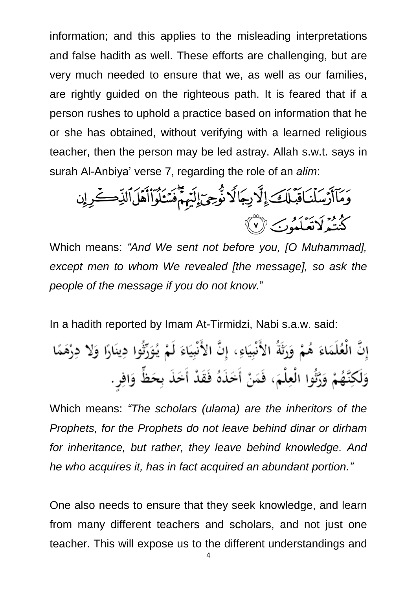information; and this applies to the misleading interpretations and false hadith as well. These efforts are challenging, but are very much needed to ensure that we, as well as our families, are rightly guided on the righteous path. It is feared that if a person rushes to uphold a practice based on information that he or she has obtained, without verifying with a learned religious teacher, then the person may be led astray. Allah s.w.t. says in surah Al-Anbiya' verse 7, regarding the role of an *alim*:

Which means: *"And We sent not before you, [O Muhammad], except men to whom We revealed [the message], so ask the people of the message if you do not know.*"

In a hadith reported by Imam At-Tirmidzi, Nabi s.a.w. said:

Which means: *"The scholars (ulama) are the inheritors of the Prophets, for the Prophets do not leave behind dinar or dirham for inheritance, but rather, they leave behind knowledge. And he who acquires it, has in fact acquired an abundant portion."*

One also needs to ensure that they seek knowledge, and learn from many different teachers and scholars, and not just one teacher. This will expose us to the different understandings and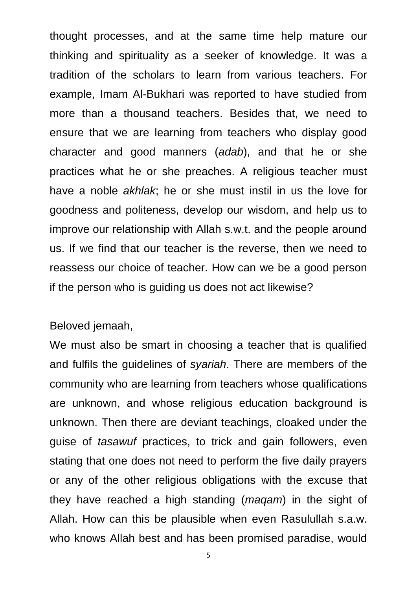thought processes, and at the same time help mature our thinking and spirituality as a seeker of knowledge. It was a tradition of the scholars to learn from various teachers. For example, Imam Al-Bukhari was reported to have studied from more than a thousand teachers. Besides that, we need to ensure that we are learning from teachers who display good character and good manners (*adab*), and that he or she practices what he or she preaches. A religious teacher must have a noble *akhlak*; he or she must instil in us the love for goodness and politeness, develop our wisdom, and help us to improve our relationship with Allah s.w.t. and the people around us. If we find that our teacher is the reverse, then we need to reassess our choice of teacher. How can we be a good person if the person who is guiding us does not act likewise?

## Beloved jemaah,

We must also be smart in choosing a teacher that is qualified and fulfils the guidelines of *syariah*. There are members of the community who are learning from teachers whose qualifications are unknown, and whose religious education background is unknown. Then there are deviant teachings, cloaked under the guise of *tasawuf* practices, to trick and gain followers, even stating that one does not need to perform the five daily prayers or any of the other religious obligations with the excuse that they have reached a high standing (*maqam*) in the sight of Allah. How can this be plausible when even Rasulullah s.a.w. who knows Allah best and has been promised paradise, would

5